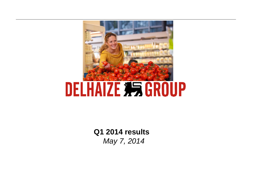

**Q1 2014 results Q1** *May 7, 2014*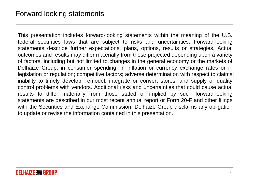This presentation includes forward-looking statements within the meaning of the U.S. federal securities laws that are subject to risks and uncertainties. Forward-looking statements describe further expectations, plans, options, results or strategies. Actual outcomes and results may differ materially from those projected depending upon <sup>a</sup> variety of factors, including but not limited to changes in the general economy or the markets of Delhaize Group, in consumer spending, in inflation or currency exchange rates or in legislation or regulation; competitive factors; adverse determination with respect to claims; inability to timely develop, remodel, integrate or convert stores; and supply or quality control problems with vendors. Additional risks and uncertainties that could cause actual results to differ materially from those stated or implied by such forward-looking statements are described in our most recent annual report or Form 20-F and other filings with the Securities and Exchange Commission. Delhaize Group disclaims any obligation to update or revise the information contained in this presentation.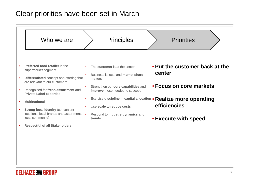### Clear priorities have been set in March

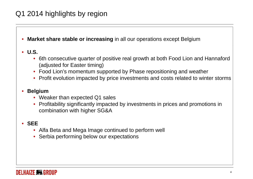# Q1 2014 highlights by region

•**Market share stable or increasing** in all our operations except Belgium

#### • **U.S.**

- • 6th consecutive quarter of positive real growth at both Food Lion and Hannaford (adjusted for Easte r timing)
- Food Lion's momentum supported by Phase repositioning and weather
- Profit evolution impacted by price investments and costs related to winter storms

#### $\bullet$ • Belgium

- Weaker than expected Q1 sales
- Profitability significantly impacted by investments in prices and promotions in combination with higher SG&A

#### • **SEE**

- Alfa Beta and Mega Image continued to perform well
- •• Serbia performing below our expectations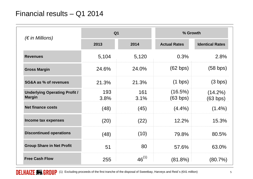## Financial results – Q1 2014

| $(\epsilon$ in Millions)                              | Q <sub>1</sub> |             | % Growth               |                        |
|-------------------------------------------------------|----------------|-------------|------------------------|------------------------|
|                                                       | 2013           | 2014        | <b>Actual Rates</b>    | <b>Identical Rates</b> |
| <b>Revenues</b>                                       | 5,104          | 5,120       | 0.3%                   | 2.8%                   |
| <b>Gross Margin</b>                                   | 24.6%          | 24.0%       | (62 bps)               | $(58$ bps)             |
| <b>SG&amp;A as % of revenues</b>                      | 21.3%          | 21.3%       | $(1 \text{ bps})$      | (3 bps)                |
| <b>Underlying Operating Profit /</b><br><b>Margin</b> | 193<br>3.8%    | 161<br>3.1% | $(16.5\%)$<br>(63 bps) | $(14.2\%)$<br>(63 bps) |
| <b>Net finance costs</b>                              | (48)           | (45)        | $(4.4\%)$              | $(1.4\%)$              |
| Income tax expenses                                   | (20)           | (22)        | 12.2%                  | 15.3%                  |
| <b>Discontinued operations</b>                        | (48)           | (10)        | 79.8%                  | 80.5%                  |
| <b>Group Share in Net Profit</b>                      | 51             | 80          | 57.6%                  | 63.0%                  |
| <b>Free Cash Flow</b>                                 | 255            | $46^{(1)}$  | $(81.8\%)$             | $(80.7\%)$             |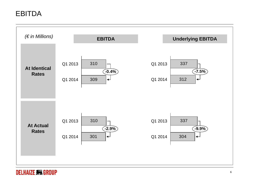# EBITDA



#### **DELHAIZE 非易 GROUP**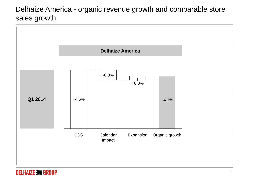# Delhaize America - organic revenue growth and comparable store sales growth

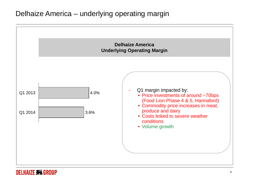## Delhaize America – underlying operating margin

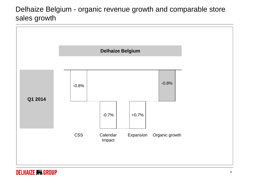# Delhaize Belgium - organic revenue growth and comparable store sales growth



#### **DELHAIZE 积 GROUP**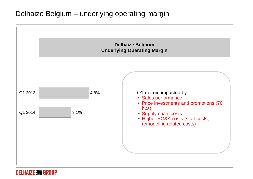## Delhaize Belgium – underlying operating margin

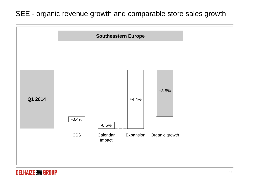## SEE - organic revenue growth and comparable store sales growth



#### **DELHAIZE 积 GROUP**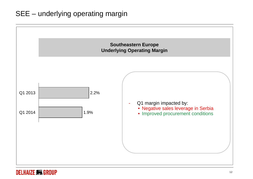# SEE – underlying operating margin



#### **DELHAIZE 积 GROUP**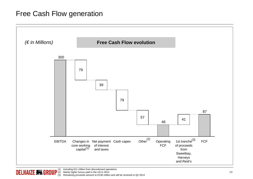## Free Cash Flow generation



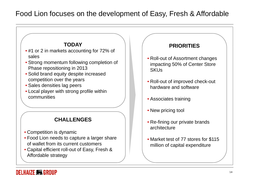# Food Lion focuses on the development of Easy, Fresh & Affordable



#### DELHAIZE **355 GROUP**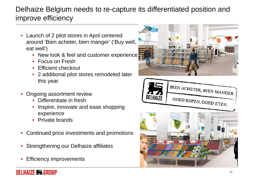# Delhaize Belgium needs to re-capture its differentiated position and improve efficiency

- • Launch of 2 pilot stores in April centered around 'Bien acheter, bien manger' ('Buy well, eat well')
	- New look & feel and customer experience
	- Focus on Fresh
	- •Efficient checkout
	- • 2 additional pilot stores remodeled later this year
- • Ongoing assortment review
	- Differentiate in fresh
	- • Inspire, innovate and ease shopping experience
	- Private brands
- •Continued price investments and promotions
- •Strengthening our Delhaize affiliates
- •Efficiency improvements





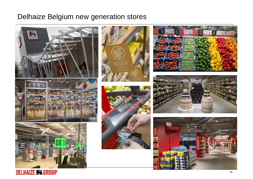## Delhaize Belgium new generation stores



**DELHAIZE #5 GROUP**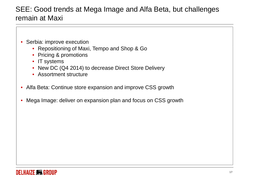# SEE: Good trends at Mega Image and Alfa Beta, but challenges remain at Maxi

- $\bullet$  Serbia: improve execution
	- Repositioning of Maxi, Tempo and Shop & Go
	- Pricing & promotions
	- IT systems
	- New DC (Q4 2014) to decrease Direct Store Delivery
	- Assortment structure
- Alfa Beta: Continue store expansion and improve CSS growth
- •Mega Image: deliver on expansion plan and focus on CSS growth